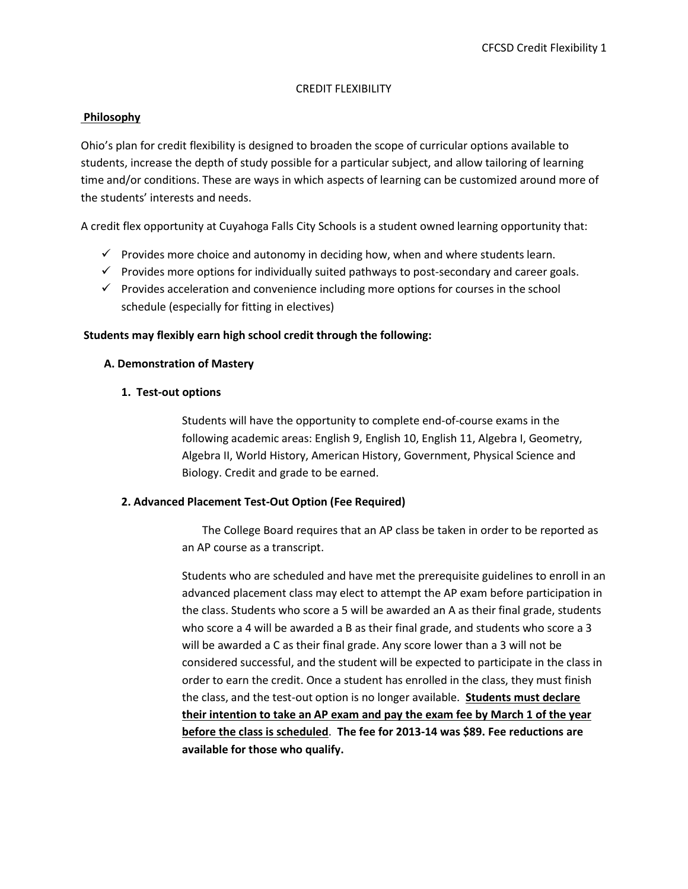#### CREDIT FLEXIBILITY

## **Philosophy**

Ohio's plan for credit flexibility is designed to broaden the scope of curricular options available to students, increase the depth of study possible for a particular subject, and allow tailoring of learning time and/or conditions. These are ways in which aspects of learning can be customized around more of the students' interests and needs.

A credit flex opportunity at Cuyahoga Falls City Schools is a student owned learning opportunity that:

- $\checkmark$  Provides more choice and autonomy in deciding how, when and where students learn.
- $\checkmark$  Provides more options for individually suited pathways to post-secondary and career goals.
- $\checkmark$  Provides acceleration and convenience including more options for courses in the school schedule (especially for fitting in electives)

#### **Students may flexibly earn high school credit through the following:**

#### **A. Demonstration of Mastery**

#### **1. Test-out options**

Students will have the opportunity to complete end-of-course exams in the following academic areas: English 9, English 10, English 11, Algebra I, Geometry, Algebra II, World History, American History, Government, Physical Science and Biology. Credit and grade to be earned.

#### **2. Advanced Placement Test-Out Option (Fee Required)**

The College Board requires that an AP class be taken in order to be reported as an AP course as a transcript.

Students who are scheduled and have met the prerequisite guidelines to enroll in an advanced placement class may elect to attempt the AP exam before participation in the class. Students who score a 5 will be awarded an A as their final grade, students who score a 4 will be awarded a B as their final grade, and students who score a 3 will be awarded a C as their final grade. Any score lower than a 3 will not be considered successful, and the student will be expected to participate in the class in order to earn the credit. Once a student has enrolled in the class, they must finish the class, and the test-out option is no longer available. **Students must declare their intention to take an AP exam and pay the exam fee by March 1 of the year before the class is scheduled**. **The fee for 2013-14 was \$89. Fee reductions are available for those who qualify.**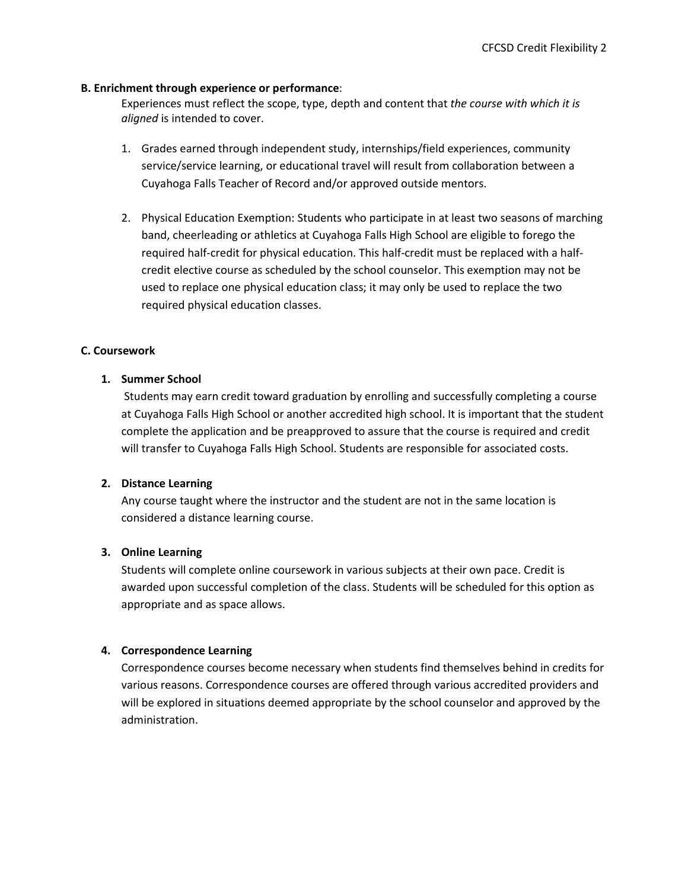## **B. Enrichment through experience or performance**:

Experiences must reflect the scope, type, depth and content that *the course with which it is aligned* is intended to cover.

- 1. Grades earned through independent study, internships/field experiences, community service/service learning, or educational travel will result from collaboration between a Cuyahoga Falls Teacher of Record and/or approved outside mentors.
- 2. Physical Education Exemption: Students who participate in at least two seasons of marching band, cheerleading or athletics at Cuyahoga Falls High School are eligible to forego the required half-credit for physical education. This half-credit must be replaced with a halfcredit elective course as scheduled by the school counselor. This exemption may not be used to replace one physical education class; it may only be used to replace the two required physical education classes.

## **C. Coursework**

## **1. Summer School**

Students may earn credit toward graduation by enrolling and successfully completing a course at Cuyahoga Falls High School or another accredited high school. It is important that the student complete the application and be preapproved to assure that the course is required and credit will transfer to Cuyahoga Falls High School. Students are responsible for associated costs.

#### **2. Distance Learning**

Any course taught where the instructor and the student are not in the same location is considered a distance learning course.

## **3. Online Learning**

Students will complete online coursework in various subjects at their own pace. Credit is awarded upon successful completion of the class. Students will be scheduled for this option as appropriate and as space allows.

#### **4. Correspondence Learning**

Correspondence courses become necessary when students find themselves behind in credits for various reasons. Correspondence courses are offered through various accredited providers and will be explored in situations deemed appropriate by the school counselor and approved by the administration.